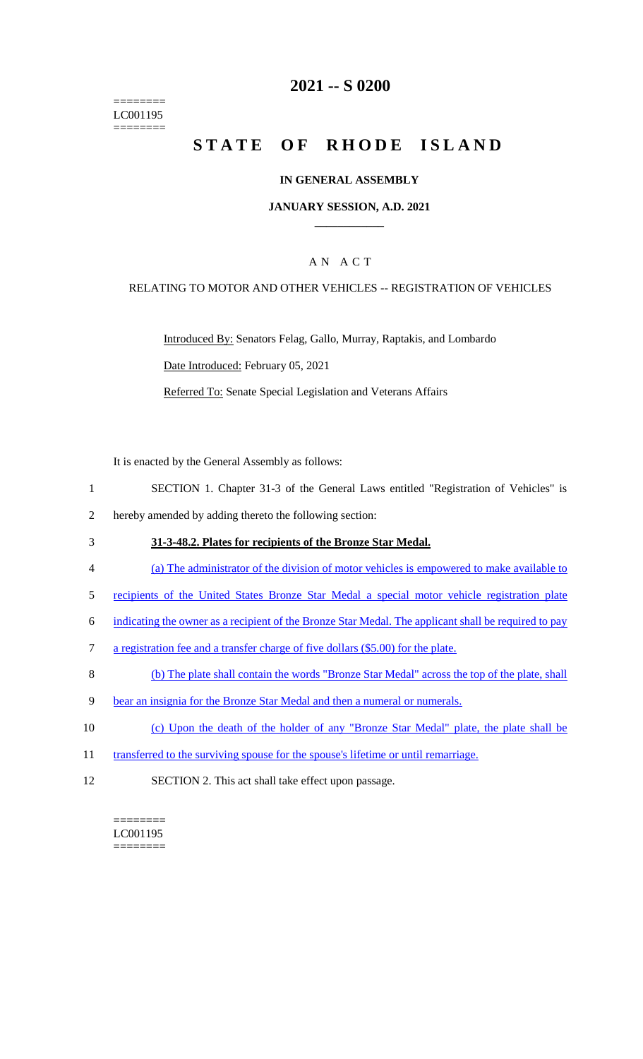======== LC001195 ========

### **2021 -- S 0200**

# **STATE OF RHODE ISLAND**

#### **IN GENERAL ASSEMBLY**

#### **JANUARY SESSION, A.D. 2021 \_\_\_\_\_\_\_\_\_\_\_\_**

### A N A C T

#### RELATING TO MOTOR AND OTHER VEHICLES -- REGISTRATION OF VEHICLES

Introduced By: Senators Felag, Gallo, Murray, Raptakis, and Lombardo Date Introduced: February 05, 2021

Referred To: Senate Special Legislation and Veterans Affairs

It is enacted by the General Assembly as follows:

- 1 SECTION 1. Chapter 31-3 of the General Laws entitled "Registration of Vehicles" is
- 2 hereby amended by adding thereto the following section:
- 3 **31-3-48.2. Plates for recipients of the Bronze Star Medal.**
- 4 (a) The administrator of the division of motor vehicles is empowered to make available to
- 5 recipients of the United States Bronze Star Medal a special motor vehicle registration plate
- 6 indicating the owner as a recipient of the Bronze Star Medal. The applicant shall be required to pay
- 7 a registration fee and a transfer charge of five dollars (\$5.00) for the plate.
- 8 (b) The plate shall contain the words "Bronze Star Medal" across the top of the plate, shall
- 9 bear an insignia for the Bronze Star Medal and then a numeral or numerals.
- 10 (c) Upon the death of the holder of any "Bronze Star Medal" plate, the plate shall be
- 11 transferred to the surviving spouse for the spouse's lifetime or until remarriage.
- 12 SECTION 2. This act shall take effect upon passage.

 $=$ LC001195 ========